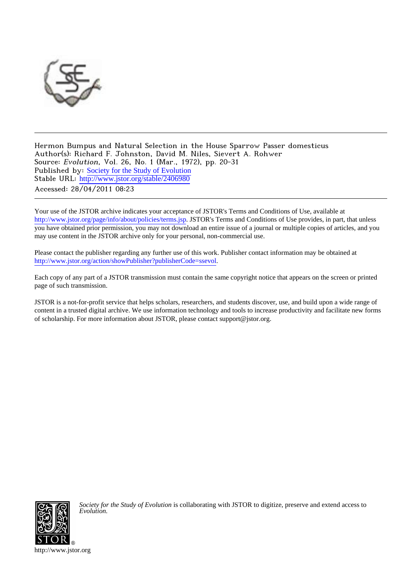

Hermon Bumpus and Natural Selection in the House Sparrow Passer domesticus Author(s): Richard F. Johnston, David M. Niles, Sievert A. Rohwer Source: Evolution, Vol. 26, No. 1 (Mar., 1972), pp. 20-31 Published by: [Society for the Study of Evolution](http://www.jstor.org/action/showPublisher?publisherCode=ssevol) Stable URL: [http://www.jstor.org/stable/2406980](http://www.jstor.org/stable/2406980?origin=JSTOR-pdf) Accessed: 28/04/2011 08:23

Your use of the JSTOR archive indicates your acceptance of JSTOR's Terms and Conditions of Use, available at <http://www.jstor.org/page/info/about/policies/terms.jsp>. JSTOR's Terms and Conditions of Use provides, in part, that unless you have obtained prior permission, you may not download an entire issue of a journal or multiple copies of articles, and you may use content in the JSTOR archive only for your personal, non-commercial use.

Please contact the publisher regarding any further use of this work. Publisher contact information may be obtained at [http://www.jstor.org/action/showPublisher?publisherCode=ssevol.](http://www.jstor.org/action/showPublisher?publisherCode=ssevol)

Each copy of any part of a JSTOR transmission must contain the same copyright notice that appears on the screen or printed page of such transmission.

JSTOR is a not-for-profit service that helps scholars, researchers, and students discover, use, and build upon a wide range of content in a trusted digital archive. We use information technology and tools to increase productivity and facilitate new forms of scholarship. For more information about JSTOR, please contact support@jstor.org.



*Society for the Study of Evolution* is collaborating with JSTOR to digitize, preserve and extend access to *Evolution.*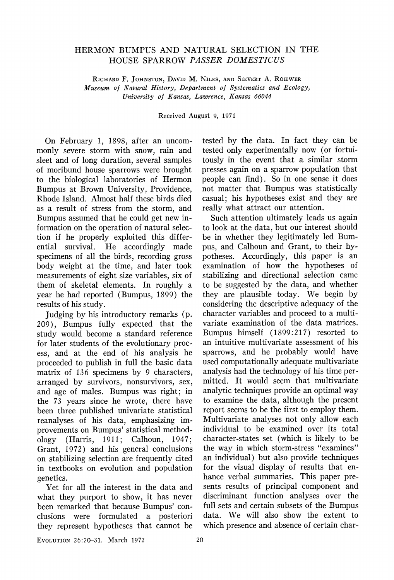# HERMON BUMPUS AND NATURAL SELECTION IN THE HOUSE SPARROW PASSER DOMESTICUS

RICHARD F. JOHNSTON, DAVID M. NILES, AND SIEVERT A. ROHWER Museum of Natural History, Department of Systematics and Ecology, University of Kansas, Lawrence, Kansas 66044

Received August 9, 1971

On February 1, 1898, after an uncommonly severe storm with snow, rain and sleet and of long duration, several samples of moribund house sparrows were brought to the biological laboratories of Hermon Bumpus at Brown University, Providence, Rhode Island. Almost half these birds died as a result of stress from the storm, and Bumpus assumed that he could get new information on the operation of natural selection if he properly exploited this differential survival. He accordingly made specimens of all the birds, recording gross body weight at the time, and later took measurements of eight size variables, six of them of skeletal elements. In roughly a year he had reported (Bumpus, 1899) the results of his study.

Judging by his introductory remarks (p. 209), Bumpus fully expected that the study would become a standard reference for later students of the evolutionary process, and at the end of his analysis he proceeded to publish in full the basic data matrix of 136 specimens by 9 characters, arranged by survivors, nonsurvivors, sex, and age of males. Bumpus was right; in the 73 years since he wrote, there have been three published univariate statistical reanalyses of his data, emphasizing improvements on Bumpus' statistical methodology (Harris, 1911; Calhoun, 1947; Grant, 1972) and his general conclusions on stabilizing selection are frequently cited in textbooks on evolution and population genetics.

Yet for all the interest in the data and what they purport to show, it has never been remarked that because Bumpus' conclusions were formulated a posteriori they represent hypotheses that cannot be tested by the data. In fact they can be tested only experimentally now (or fortuitously in the event that a similar storm presses again on a sparrow population that people can find). So in one sense it does not matter that Bumpus was statistically casual; his hypotheses exist and they are really what attract our attention.

Such attention ultimately leads us again to look at the data, but our interest should be in whether they legitimately led Bumpus, and Calhoun and Grant, to their hypotheses. Accordingly, this paper is an examination of how the hypotheses of stabilizing and directional selection came to be suggested by the data, and whether they are plausible today. We begin by considering the descriptive adequacy of the character variables and proceed to a multivariate examination of the data matrices. Bumpus himself (1899:217) resorted to an intuitive multivariate assessment of his sparrows, and he probably would have used computationally adequate multivariate analysis had the technology of his time permitted. It would seem that multivariate analytic techniques provide an optimal way to examine the data, although the present report seems to be the first to employ them. Multivariate analyses not only allow each individual to be examined over its total character-states set (which is likely to be the way in which storm-stress "examines" an individual) but also provide techniques for the visual display of results that enhance verbal summaries. This paper presents results of principal component and discriminant function analyses over the full sets and certain subsets of the Bumpus data. We will also show the extent to which presence and absence of certain char-

EVOLUTION 26:20-31. March 1972 20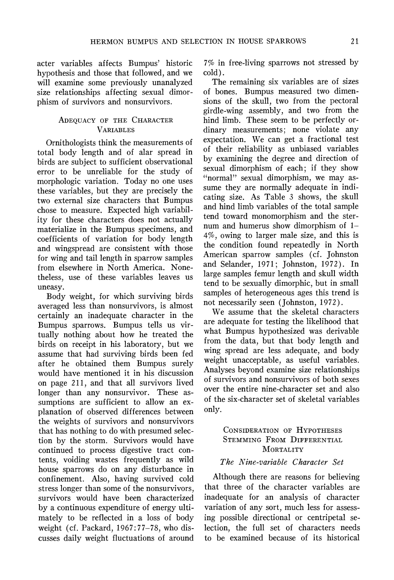acter variables affects Bumpus' historic hypothesis and those that followed, and we will examine some previously unanalyzed size relationships affecting sexual dimorphism of survivors and nonsurvivors.

## ADEQUACY OF THE CHARACTER VARIABLES

Ornithologists think the measurements of total body length and of alar spread in birds are subject to sufficient observational error to be unreliable for the study of morphologic variation. Today no one uses these variables, but they are precisely the two external size characters that Bumpus chose to measure. Expected high variability for these characters does not actually materialize in the Bumpus specimens, and coefficients of variation for body length and wingspread are consistent with those for wing and tail length in sparrow samples from elsewhere in North America. Nonetheless, use of these variables leaves us uneasy.

Body weight, for which surviving birds averaged less than nonsurvivors, is almost certainly an inadequate character in the Bumpus sparrows. Bumpus tells us virtually nothing about how he treated the birds on receipt in his laboratory, but we assume that had surviving birds been fed after he obtained them Bumpus surely would have mentioned it in his discussion on page 211, and that all survivors lived longer than any nonsurvivor. These assumptions are sufficient to allow an explanation of observed differences between the weights of survivors and nonsurvivors that has nothing to do with presumed selection by the storm. Survivors would have continued to process digestive tract contents, voiding wastes frequently as wild house sparrows do on any disturbance in confinement. Also, having survived cold stress longer than some of the nonsurvivors, survivors would have been characterized by a continuous expenditure of energy ultimately to be reflected in a loss of body weight (cf. Packard, 1967:77-78, who discusses daily weight fluctuations of around 7% in free-living sparrows not stressed by cold).

The remaining six variables are of sizes of bones. Bumpus measured two dimensions of the skull, two from the pectoral girdle-wing assembly, and two from the hind limb. These seem to be perfectly ordinary measurements; none violate any expectation. We can get a fractional test of their reliability as unbiased variables by examining the degree and direction of sexual dimorphism of each; if they show "normal" sexual dimorphism, we may assume they are normally adequate in indicating size. As Table 3 shows, the skull and hind limb variables of the total sample tend toward monomorphism and the sternum and humerus show dimorphism of 1- 4%, owing to larger male size, and this is the condition found repeatedly in North American sparrow samples (cf. Johnston and Selander, 1971; Johnston, 1972). In large samples femur length and skull width tend to be sexually dimorphic, but in small samples of heterogeneous ages this trend is not necessarily seen (Johnston, 1972).

We assume that the skeletal characters are adequate for testing the likelihood that what Bumpus hypothesized was derivable from the data, but that body length and wing spread are less adequate, and body weight unacceptable, as useful variables. Analyses beyond examine size relationships of survivors and nonsurvivors of both sexes over the entire nine-character set and also of the six-character set of skeletal variables only.

## CONSIDERATION OF HYPOTHESES STEMMING FROM DIFFERENTIAL **MORTALITY**

## The Nine-variable Character Set

Although there are reasons for believing that three of the character variables are inadequate for an analysis of character variation of any sort, much less for assessing possible directional or centripetal selection, the full set of characters needs to be examined because of its historical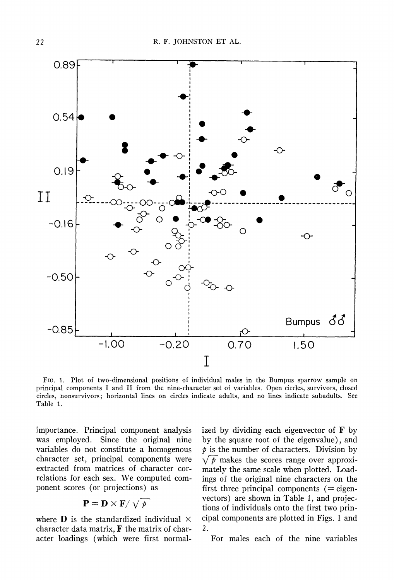

FIG. 1. Plot of two-dimensional positions of individual males in the Bumpus sparrow sample on principal components I and II from the nine-character set of variables. Open circles, survivors, closed circles, nonsurvivors; horizontal lines on circles indicate adults, and no lines indicate subadults. See Table 1.

importance. Principal component analysis was employed. Since the original nine variables do not constitute a homogenous character set, principal components were extracted from matrices of character correlations for each sex. We computed component scores (or projections) as

$$
\mathbf{P} = \mathbf{D} \times \mathbf{F} / \sqrt{p}
$$

where **D** is the standardized individual  $\times$ character data matrix,  $\bf{F}$  the matrix of character loadings (which were first normalized by dividing each eigenvector of  $\mathbf F$  by by the square root of the eigenvalue), and  $\dot{p}$  is the number of characters. Division by  $\sqrt{p}$  makes the scores range over approximately the same scale when plotted. Loadings of the original nine characters on the first three principal components  $(=$  eigenvectors) are shown in Table 1, and projections of individuals onto the first two principal components are plotted in Figs. 1 and 2.

For males each of the nine variables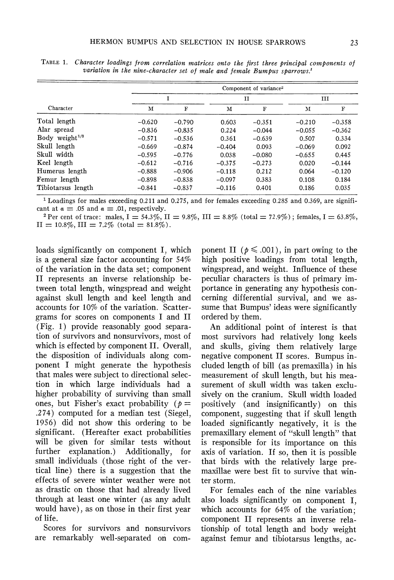| Character          |          | Component of variance <sup>2</sup> |          |             |          |             |  |  |  |
|--------------------|----------|------------------------------------|----------|-------------|----------|-------------|--|--|--|
|                    | I        |                                    |          | $_{\rm II}$ | ш        |             |  |  |  |
|                    | м        | F                                  | м        | F           | м        | $\mathbf F$ |  |  |  |
| Total length       | $-0.620$ | $-0.790$                           | 0.603    | $-0.351$    | $-0.210$ | $-0.358$    |  |  |  |
| Alar spread        | $-0.836$ | $-0.835$                           | 0.224    | $-0.044$    | $-0.055$ | $-0.362$    |  |  |  |
| Body weight $1/3$  | $-0.571$ | $-0.536$                           | 0.361    | $-0.639$    | 0.507    | 0.334       |  |  |  |
| Skull length       | $-0.669$ | $-0.874$                           | $-0.404$ | 0.093       | $-0.069$ | 0.092       |  |  |  |
| Skull width        | $-0.595$ | $-0.776$                           | 0.038    | $-0.080$    | $-0.655$ | 0.445       |  |  |  |
| Keel length        | $-0.612$ | $-0.716$                           | $-0.375$ | $-0.273$    | 0.020    | $-0.144$    |  |  |  |
| Humerus length     | $-0.888$ | $-0.906$                           | $-0.118$ | 0.212       | 0.064    | $-0.120$    |  |  |  |
| Femur length       | $-0.898$ | $-0.838$                           | $-0.097$ | 0.383       | 0.108    | 0.184       |  |  |  |
| Tibiotarsus length | $-0.841$ | $-0.837$                           | $-0.116$ | 0.401       | 0.186    | 0.035       |  |  |  |

TABLE 1. Character loadings from correlation matrices onto the first three principal components of variation in the nine-character set of male and female Bumpus sparrows.<sup>1</sup>

1 Loadings for males exceeding 0.2 11 and 0.275, and for females exceeding 0.285 and 0.369, are significant at  $a = .05$  and  $a = .01$ , respectively.

<sup>2</sup> Per cent of trace: males,  $I = 54.3\%$ ,  $II = 9.8\%$ ,  $III = 8.8\%$  (total = 72.9%); females,  $I = 63.8\%$ ,  $II = 10.8\%, III = 7.2\%$  (total = 81.8%).

loads significantly on component I, which is a general size factor accounting for 54% of the variation in the data set; component II represents an inverse relationship between total length, wingspread and weight against skull length and keel length and accounts for 10% of the variation. Scattergrams for scores on components I and II (Fig. 1) provide reasonably good separation of survivors and nonsurvivors, most of which is effected by component II. Overall, the disposition of individuals along component I might generate the hypothesis that males were subject to directional selection in which large individuals had a higher probability of surviving than small ones, but Fisher's exact probability ( $p =$ .274) computed for a median test (Siegel, 1956) did not show this ordering to be significant. (Hereafter exact probabilities will be given for similar tests without further explanation.) Additionally, for small individuals (those right of the vertical line) there is a suggestion that the effects of severe winter weather were not as drastic on those that had already lived through at least one winter (as any adult would have), as on those in their first year of life.

Scores for survivors and nonsurvivors are remarkably well-separated on com-

ponent II ( $p \leq .001$ ), in part owing to the high positive loadings from total length, wingspread, and weight. Influence of these peculiar characters is thus of primary importance in generating any hypothesis concerning differential survival, and we assume that Bumpus' ideas were significantly ordered by them.

An additional point of interest is that most survivors had relatively long keels and skulls, giving them relatively large negative component II scores. Bumpus included length of bill (as premaxilla) in his measurement of skull length, but his measurement of skull width was taken exclusively on the cranium. Skull width loaded positively (and insignificantly) on this component, suggesting that if skull length loaded significantly negatively, it is the premaxillary element of "skull length" that is responsible for its importance on this axis of variation. If so, then it is possible that birds with the relatively large premaxillae were best fit to survive that winter storm.

For females each of the nine variables also loads significantly on component I, which accounts for 64% of the variation; component II represents an inverse relationship of total length and body weight against femur and tibiotarsus lengths, ac-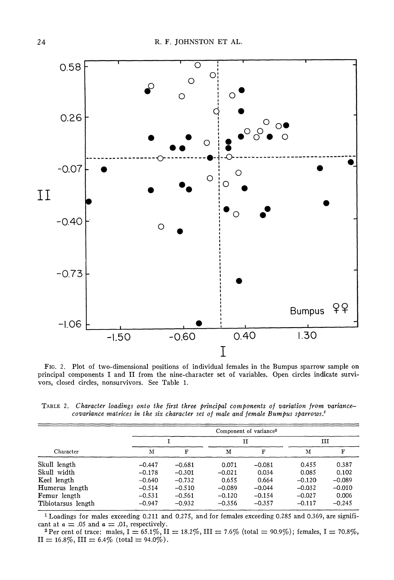

FIG. 2. Plot of two-dimensional positions of individual females in the Bumpus sparrow sample on principal components I and II from the nine-character set of variables. Open circles indicate survivors, closed circles, nonsurvivors. See Table 1.

TABLE 2. Character loadings onto the first three principal components of variation from variancecovariance matrices in the six character set of male and female Bumpus sparrows.'

|                    |          |          |          | Component of variance <sup>2</sup> |          |          |  |  |  |  |
|--------------------|----------|----------|----------|------------------------------------|----------|----------|--|--|--|--|
|                    |          |          |          | п                                  |          | ш        |  |  |  |  |
| Character          | м        | F        | М        | F                                  | м        | F        |  |  |  |  |
| Skull length       | $-0.447$ | $-0.681$ | 0.071    | $-0.081$                           | 0.455    | 0.387    |  |  |  |  |
| Skull width        | $-0.178$ | $-0.301$ | $-0.021$ | 0.034                              | 0.085    | 0.102    |  |  |  |  |
| Keel length        | $-0.640$ | $-0.732$ | 0.655    | 0.664                              | $-0.120$ | $-0.089$ |  |  |  |  |
| Humerus length     | $-0.514$ | $-0.510$ | $-0.089$ | $-0.044$                           | $-0.032$ | $-0.010$ |  |  |  |  |
| Femur length       | $-0.531$ | $-0.561$ | $-0.120$ | $-0.154$                           | $-0.027$ | 0.006    |  |  |  |  |
| Tibiotarsus length | $-0.947$ | $-0.932$ | $-0.356$ | $-0.357$                           | $-0.117$ | $-0.245$ |  |  |  |  |

1 Loadings for males exceeding 0.211 and 0.275, and for females exceeding 0.285 and 0.369, are significant at  $\alpha = .05$  and  $\alpha = .01$ , respectively.

<sup>2</sup> Per cent of trace: males,  $I = 65.1\%$ ,  $II = 18.2\%$ ,  $III = 7.6\%$  (total = 90.9%); females,  $I = 70.8\%$ ,  $II = 16.8\%, III = 6.4\%$  (total = 94.0%).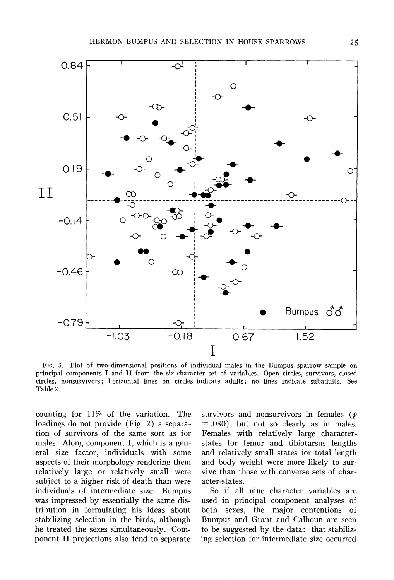

FIG. 3. Plot of two-dimensional positions of individual males in the Bumpus sparrow sample on principal components I and II from the six-character set of variables. Open circles, survivors, closed circles, nonsurvivors; horizontal lines on circles indicate adults; no lines indicate subadults. See Table 2.

counting for 11% of the variation. The loadings do not provide (Fig. 2) a separation of survivors of the same sort as for males. Along component I, which is a general size factor, individuals with some aspects of their morphology rendering them relatively large or relatively small were subject to a higher risk of death than were individuals of intermediate size. Bumpus was impressed by essentially the same distribution in formulating his ideas about stabilizing selection in the birds, although he treated the sexes simultaneously. Component II projections also tend to separate

survivors and nonsurvivors in females ( $\dot{p}$ )  $= .080$ , but not so clearly as in males. Females with relatively large characterstates for femur and tibiotarsus lengths and relatively small states for total length and body weight were more likely to survive than those with converse sets of character-states.

So if all nine character variables are used in principal component analyses of both sexes, the major contentions of Bumpus and Grant and Calhoun are seen to be suggested by the data: that stabilizing selection for intermediate size occurred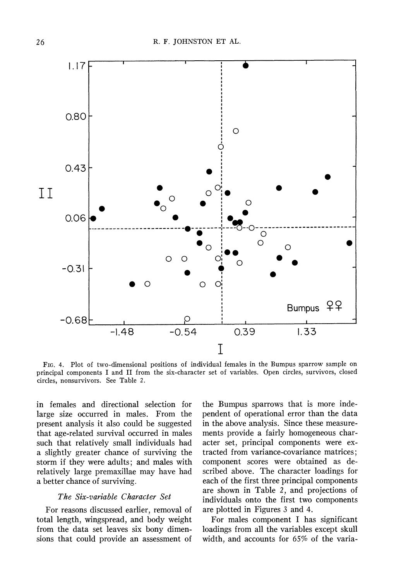

FIG. 4. Plot of two-dimensional positions of individual females in the Bumpus sparrow sample on principal components I and II from the six-character set of variables. Open circles, survivors, closed circles, nonsurvivors. See Table 2.

in females and directional selection for large size occurred in males. From the present analysis it also could be suggested that age-related survival occurred in males such that relatively small individuals had a slightly greater chance of surviving the storm if they were adults; and males with relatively large premaxillae may have had a better chance of surviving.

# The Six-variable Character Set

For reasons discussed earlier, removal of total length, wingspread, and body weight from the data set leaves six bony dimensions that could provide an assessment of the Bumpus sparrows that is more independent of operational error than the data in the above analysis. Since these measurements provide a fairly homogeneous character set, principal components were extracted from variance-covariance matrices; component scores were obtained as described above. The character loadings for each of the first three principal components are shown in Table 2, and projections of individuals onto the first two components are plotted in Figures 3 and 4.

For males component I has significant loadings from all the variables except skull width, and accounts for 65% of the varia-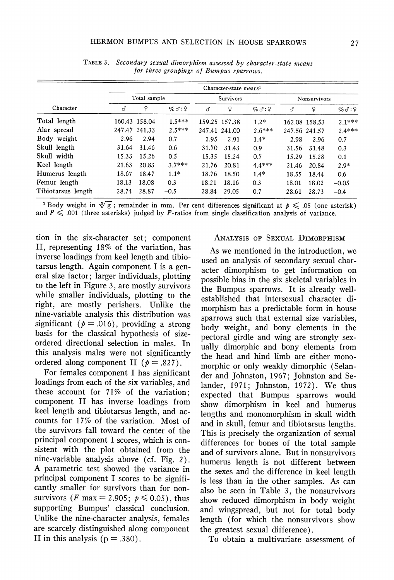| Character          |       | Character-state means <sup>1</sup> |                        |                  |               |               |                     |               |              |
|--------------------|-------|------------------------------------|------------------------|------------------|---------------|---------------|---------------------|---------------|--------------|
|                    |       | Total sample                       |                        | <b>Survivors</b> |               |               | <b>Nonsurvivors</b> |               |              |
|                    | ♂     | ¥                                  | $\%$ $\circ$ : $\circ$ | ♂                | ¥             | $\%d:\,$ $\%$ | लै                  | ¥             | $\%d:\Omega$ |
| Total length       |       | 160.43 158.04                      | $1.5***$               |                  | 159.25 157.38 | $1.2*$        |                     | 162.08 158.53 | $2.1***$     |
| Alar spread        |       | 247.47 241.33                      | $2.5***$               |                  | 247.41 241.00 | $2.6***$      |                     | 247.56 241.57 | $2.4***$     |
| Body weight        | 2.96  | 2.94                               | 0.7                    | 2.95             | 2.91          | $1.4*$        | 2.98                | 2.96          | 0.7          |
| Skull length       | 31.64 | 31.46                              | 0.6                    | 31.70            | 31.43         | 0.9           | 31.56               | 31.48         | 0.3          |
| Skull width        | 15.33 | 15.26                              | 0.5                    | 15.35            | 15.24         | 0.7           | 15.29               | 15.28         | 0.1          |
| Keel length        | 21.63 | 20.83                              | $3.7***$               | 21.76            | 20.81         | $4.4***$      | 21.46               | 20.84         | $2.9*$       |
| Humerus length     | 18.67 | 18.47                              | $1.1*$                 | 18.76            | 18.50         | $1.4*$        | 18.55               | 18.44         | 0.6          |
| Femur length       | 18.13 | 18.08                              | 0.3                    | 18.21            | 18.16         | 0.3           | 18.01               | 18.02         | $-0.05$      |
| Tibiotarsus length | 28.74 | 28.87                              | $-0.5$                 | 28.84            | 29.05         | $-0.7$        | 28.61               | 28.73         | $-0.4$       |

TABLE 3. Secondary sexual dimorphism assessed by character-state means for three groupings of Bumpus sparrows.

<sup>1</sup> Body weight in  $\sqrt[3]{g}$ ; remainder in mm. Per cent differences significant at  $p \leq 0.05$  (one asterisk) and  $P \leq 0.001$  (three asterisks) judged by F-ratios from single classification analysis of variance.

tion in the six-character set; component II, representing 18% of the variation, has inverse loadings from keel length and tibiotarsus length. Again component I is a general size factor; larger individuals, plotting to the left in Figure 3, are mostly survivors while smaller individuals, plotting to the right, are mostly perishers. Unlike the nine-variable analysis this distribution was significant ( $p = .016$ ), providing a strong basis for the classical hypothesis of sizeordered directional selection in males. In this analysis males were not significantly ordered along component II ( $p = .827$ ).

For females component I has significant loadings from each of the six variables, and these account for 71% of the variation; component II has inverse loadings from keel length and tibiotarsus length, and accounts for 17% of the variation. Most of the survivors fall toward the center of the principal component I scores, which is consistent with the plot obtained from the nine-variable analysis above (cf. Fig. 2). A parametric test showed the variance in principal component I scores to be significantly smaller for survivors than for nonsurvivors (*F* max = 2.905;  $p \le 0.05$ ), thus supporting Bumpus' classical conclusion. Unlike the nine-character analysis, females are scarcely distinguished along component II in this analysis ( $p = .380$ ).

### ANALYSIS OF SEXUAL DIMORPHISM

As we mentioned in the introduction, we used an analysis of secondary sexual character dimorphism to get information on possible bias in the six skeletal variables in the Bumpus sparrows. It is already wellestablished that intersexual character dimorphism has a predictable form in house sparrows such that external size variables, body weight, and bony elements in the pectoral girdle and wing are strongly sexually dimorphic and bony elements from the head and hind limb are either monomorphic or only weakly dimorphic (Selander and Johnston, 1967; Johnston and Selander, 1971; Johnston, 1972). We thus expected that Bumpus sparrows would show dimorphism in keel and humerus lengths and monomorphism in skull width and in skull, femur and tibiotarsus lengths. This is precisely the organization of sexual differences for bones of the total sample and of survivors alone. But in nonsurvivors humerus length is not different between the sexes and the difference in keel length is less than in the other samples. As can also be seen in Table 3, the nonsurvivors show reduced dimorphism in body weight and wingspread, but not for total body length (for which the nonsurvivors show the greatest sexual difference).

To obtain a multivariate assessment of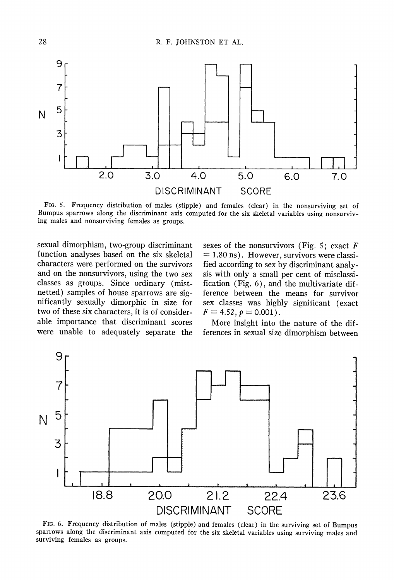

FIG. 5. Frequency distribution of males (stipple) and females (clear) in the nonsurviving set of Bumpus sparrows along the discriminant axis computed for the six skeletal variables using nonsurviving males and nonsurviving females as groups.

sexual dimorphism, two-group discriminant function analyses based on the six skeletal characters were performed on the survivors and on the nonsurvivors, using the two sex classes as groups. Since ordinary (mistnetted) samples of house sparrows are significantly sexually dimorphic in size for two of these six characters, it is of considerable importance that discriminant scores were unable to adequately separate the sexes of the nonsurvivors (Fig. 5; exact  $F$  $= 1.80$  ns). However, survivors were classified according to sex by discriminant analysis with only a small per cent of misclassification (Fig. 6), and the multivariate difference between the means for survivor sex classes was highly significant (exact  $F = 4.52, p = 0.001$ .

More insight into the nature of the differences in sexual size dimorphism between



FIG. 6. Frequency distribution of males (stipple) and females (clear) in the surviving set of Bumpus sparrows along the discriminant axis computed for the six skeletal variables using surviving males and surviving females as groups.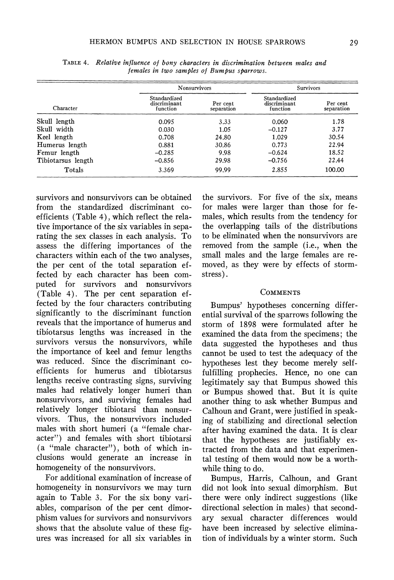|                    | Nonsurvivors                             |                        | Survivors                                |                        |  |
|--------------------|------------------------------------------|------------------------|------------------------------------------|------------------------|--|
| Character          | Standardized<br>discriminant<br>function | Per cent<br>separation | Standardized<br>discriminant<br>function | Per cent<br>separation |  |
| Skull length       | 0.095                                    | 3.33                   | 0.060                                    | 1.78                   |  |
| Skull width        | 0.030                                    | 1.05                   | $-0.127$                                 | 3.77                   |  |
| Keel length        | 0.708                                    | 24.80                  | 1.029                                    | 30.54                  |  |
| Humerus length     | 0.881                                    | 30.86                  | 0.773                                    | 22.94                  |  |
| Femur length       | $-0.285$                                 | 9.98                   | $-0.624$                                 | 18.52                  |  |
| Tibiotarsus length | $-0.856$                                 | 29.98                  | $-0.756$                                 | 22.44                  |  |
| Totals             | 3.369                                    | 99.99                  | 2.855                                    | 100.00                 |  |

TABLE 4. Relative influence of bony characters in discrimination between males and females in two samples of Bumpus sparrows.

survivors and nonsurvivors can be obtained from the standardized discriminant coefficients (Table 4), which reflect the relative importance of the six variables in separating the sex classes in each analysis. To assess the differing importances of the characters within each of the two analyses, the per cent of the total separation effected by each character has been computed for survivors and nonsurvivors (Table 4). The per cent separation effected by the four characters contributing significantly to the discriminant function reveals that the importance of humerus and tibiotarsus lengths was increased in the survivors versus the nonsurvivors, while the importance of keel and femur lengths was reduced. Since the discriminant coefficients for humerus and tibiotarsus lengths receive contrasting signs, surviving males had relatively longer humeri than nonsurvivors, and surviving females had relatively longer tibiotarsi than nonsurvivors. Thus, the nonsurvivors included males with short humeri (a "female character") and females with short tibiotarsi (a "male character"), both of which inclusions would generate an increase in homogeneity of the nonsurvivors.

For additional examination of increase of homogeneity in nonsurvivors we may turn again to Table 3. For the six bony variables, comparison of the per cent dimorphism values for survivors and nonsurvivors shows that the absolute value of these figures was increased for all six variables in

the survivors. For five of the six, means for males were larger than those for females, which results from the tendency for the overlapping tails of the distributions to be eliminated when the nonsurvivors are removed from the sample (i.e., when the small males and the large females are removed, as they were by effects of stormstress).

#### **COMMENTS**

Bumpus' hypotheses concerning differential survival of the sparrows following the storm of 1898 were formulated after he examined the data from the specimens; the data suggested the hypotheses and thus cannot be used to test the adequacy of the hypotheses lest they become merely selffulfilling prophecies. Hence, no one can legitimately say that Bumpus showed this or Bumpus showed that. But it is quite another thing to ask whether Bumpus and Calhoun and Grant, were justified in speaking of stabilizing and directional selection after having examined the data. It is clear that the hypotheses are justifiably extracted from the data and that experimental testing of them would now be a worthwhile thing to do.

Bumpus, Harris, Calhoun, and Grant did not look into sexual dimorphism. But there were only indirect suggestions (like directional selection in males) that secondary sexual character differences would have been increased by selective elimination of individuals by a winter storm. Such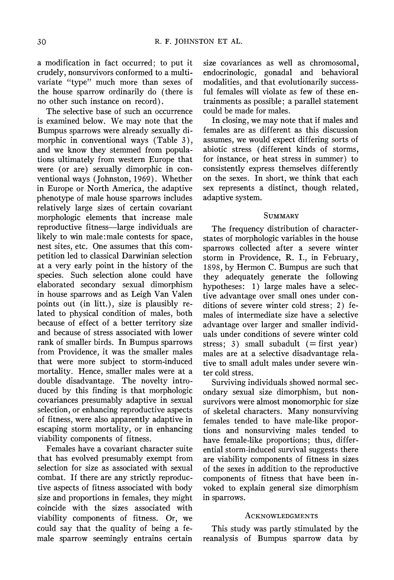a modification in fact occurred; to put it crudely, nonsurvivors conformed to a multivariate "type" much more than sexes of the house sparrow ordinarily do (there is no other such instance on record).

The selective base of such an occurrence is examined below. We may note that the Bumpus sparrows were already sexually dimorphic in conventional ways (Table 3), and we know they stemmed from populations ultimately from western Europe that were (or are) sexually dimorphic in conventional ways (Johnston, 1969). Whether in Europe or North America, the adaptive phenotype of male house sparrows includes relatively large sizes of certain covariant morphologic elements that increase male reproductive fitness-large individuals are likely to win male:male contests for space, nest sites, etc. One assumes that this competition led to classical Darwinian selection at a very early point in the history of the species. Such selection alone could have elaborated secondary sexual dimorphism in house sparrows and as Leigh Van Valen points out (in litt.), size is plausibly related to physical condition of males, both because of effect of a better territory size and because of stress associated with lower rank of smaller birds. In Bumpus sparrows from Providence, it was the smaller males that were more subject to storm-induced mortality. Hence, smaller males were at a double disadvantage. The novelty introduced by this finding is that morphologic covariances presumably adaptive in sexual selection, or enhancing reproductive aspects of fitness, were also apparently adaptive in escaping storm mortality, or in enhancing viability components of fitness.

Females have a covariant character suite that has evolved presumably exempt from selection for size as associated with sexual combat. If there are any strictly reproductive aspects of fitness associated with body size and proportions in females, they might coincide with the sizes associated with viability components of fitness. Or, we could say that the quality of being a female sparrow seemingly entrains certain size covariances as well as chromosomal, endocrinologic, gonadal and behavioral modalities, and that evolutionarily successful females will violate as few of these entrainments as possible; a parallel statement could be made for males.

In closing, we may note that if males and females are as different as this discussion assumes, we would expect differing sorts of abiotic stress (different kinds of storms, for instance, or heat stress in summer) to consistently express themselves differently on the sexes. In short, we think that each sex represents a distinct, though related, adaptive system.

**SUMMARY** 

The frequency distribution of characterstates of morphologic variables in the house sparrows collected after a severe winter storm in Providence, R. I., in February, 1898, by Hermon C. Bumpus are such that they adequately generate the following hypotheses: 1) large males have a selective advantage over small ones under conditions of severe winter cold stress; 2) females of intermediate size have a selective advantage over larger and smaller individuals under conditions of severe winter cold stress; 3) small subadult  $(=$  first year) males are at a selective disadvantage relative to small adult males under severe winter cold stress.

Surviving individuals showed normal secondary sexual size dimorphism, but nonsurvivors were almost monomorphic for size of skeletal characters. Many nonsurviving females tended to have male-like proportions and nonsurviving males tended to have female-like proportions; thus, differential storm-induced survival suggests there are viability components of fitness in sizes of the sexes in addition to the reproductive components of fitness that have been invoked to explain general size dimorphism in sparrows.

#### ACKNOWLEDGMENTS

This study was partly stimulated by the reanalysis of Bumpus sparrow data by